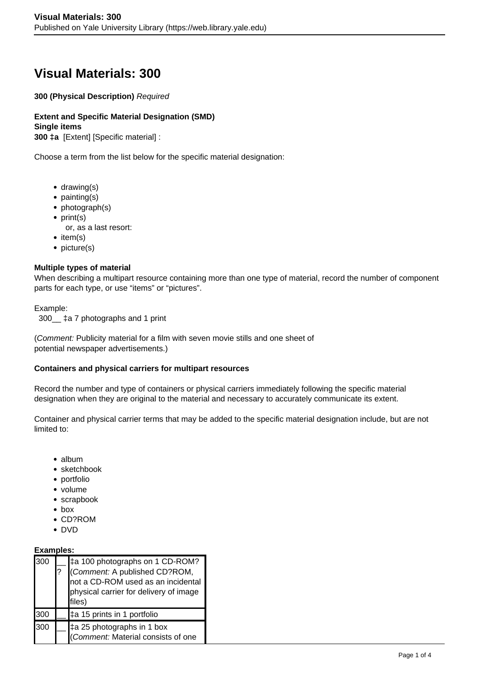# **Visual Materials: 300**

**300 (Physical Description)** Required

**Extent and Specific Material Designation (SMD) Single items 300 ‡a** [Extent] [Specific material] :

Choose a term from the list below for the specific material designation:

- $\bullet$  drawing(s)
- painting(s)
- photograph(s)
- $\bullet$  print(s)
	- or, as a last resort:
- $\bullet$  item(s)
- picture(s)

## **Multiple types of material**

When describing a multipart resource containing more than one type of material, record the number of component parts for each type, or use "items" or "pictures".

### Example:

300\_\_ ‡a 7 photographs and 1 print

(Comment: Publicity material for a film with seven movie stills and one sheet of potential newspaper advertisements.)

### **Containers and physical carriers for multipart resources**

Record the number and type of containers or physical carriers immediately following the specific material designation when they are original to the material and necessary to accurately communicate its extent.

Container and physical carrier terms that may be added to the specific material designation include, but are not limited to:

- album
- sketchbook
- portfolio
- volume
- scrapbook
- box
- CD?ROM
- DVD

# **Examples:**

| 300 | ‡a 100 photographs on 1 CD-ROM?<br>(Comment: A published CD?ROM,<br>not a CD-ROM used as an incidental<br>physical carrier for delivery of image<br>files) |
|-----|------------------------------------------------------------------------------------------------------------------------------------------------------------|
| 300 | ‡a 15 prints in 1 portfolio                                                                                                                                |
| 300 | $\pm$ a 25 photographs in 1 box<br>(Comment: Material consists of one                                                                                      |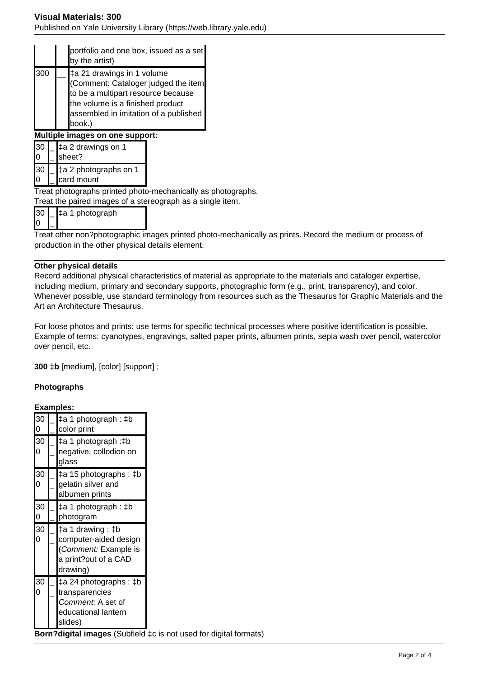## **Visual Materials: 300**

Published on Yale University Library (https://web.library.yale.edu)

|     |  |                                     | portfolio and one box, issued as a set<br>by the artist)                                                                                                                                       |  |
|-----|--|-------------------------------------|------------------------------------------------------------------------------------------------------------------------------------------------------------------------------------------------|--|
| 300 |  |                                     | ‡a 21 drawings in 1 volume<br>(Comment: Cataloger judged the item<br>to be a multipart resource because<br>the volume is a finished product<br>assembled in imitation of a published<br>book.) |  |
|     |  |                                     | Multiple images on one support:                                                                                                                                                                |  |
| l30 |  |                                     | ‡a 2 drawings on 1<br>sheet?                                                                                                                                                                   |  |
| 30  |  | ‡a 2 photographs on 1<br>card mount |                                                                                                                                                                                                |  |

Treat photographs printed photo-mechanically as photographs.

Treat the paired images of a stereograph as a single item.

| '30 I |  | $\pm$ a 1 photograph |  |
|-------|--|----------------------|--|
|       |  |                      |  |

Treat other non?photographic images printed photo-mechanically as prints. Record the medium or process of production in the other physical details element.

### **Other physical details**

Record additional physical characteristics of material as appropriate to the materials and cataloger expertise, including medium, primary and secondary supports, photographic form (e.g., print, transparency), and color. Whenever possible, use standard terminology from resources such as the Thesaurus for Graphic Materials and the Art an Architecture Thesaurus.

For loose photos and prints: use terms for specific technical processes where positive identification is possible. Example of terms: cyanotypes, engravings, salted paper prints, albumen prints, sepia wash over pencil, watercolor over pencil, etc.

**300 ‡b** [medium], [color] [support] ;

## **Photographs**

## **Examples:**

| 30<br>$\overline{0}$ | ‡a 1 photograph : ‡b<br>color print                                                                    |  |
|----------------------|--------------------------------------------------------------------------------------------------------|--|
| 30<br>0              | ‡a 1 photograph :‡b<br>negative, collodion on<br>glass                                                 |  |
| 30                   | ‡a 15 photographs : ‡b<br>gelatin silver and<br>albumen prints                                         |  |
| 30<br>$\overline{0}$ | ‡a 1 photograph : ‡b<br>photogram                                                                      |  |
| 30<br>Ō              | ‡a 1 drawing : ‡b<br>computer-aided design<br>(Comment: Example is<br>a print?out of a CAD<br>drawing) |  |
| 30                   | ‡a 24 photographs : ‡b<br>transparencies<br><i>Comment:</i> A set of<br>educational lantern<br>slides) |  |

**Born?digital images** (Subfield ‡c is not used for digital formats)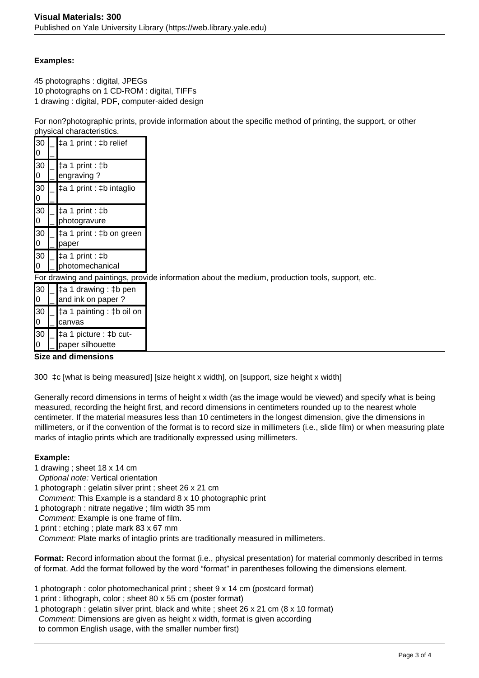# **Examples:**

45 photographs : digital, JPEGs 10 photographs on 1 CD-ROM : digital, TIFFs 1 drawing : digital, PDF, computer-aided design

For non?photographic prints, provide information about the specific method of printing, the support, or other physical characteristics.

| 30<br>0 | $\sharp$ a 1 print : $\sharp$ b relief     |                                                                                                  |
|---------|--------------------------------------------|--------------------------------------------------------------------------------------------------|
| 30<br>0 | $\pm a 1$ print : $\pm b$<br>engraving?    |                                                                                                  |
| 30<br>0 | ‡a 1 print : ‡b intaglio                   |                                                                                                  |
| 30<br>0 | ‡a 1 print : ‡b<br>photogravure            |                                                                                                  |
| 30<br>0 | ‡a 1 print : ‡b on green<br>paper          |                                                                                                  |
| 30<br>0 | ‡a 1 print : ‡b<br>photomechanical         |                                                                                                  |
|         |                                            | For drawing and paintings, provide information about the medium, production tools, support, etc. |
| 30<br>0 | ‡a 1 drawing : ‡b pen<br>and ink on paper? |                                                                                                  |
| 30<br>0 | ‡a 1 painting : ‡b oil on<br>canvas        |                                                                                                  |
| 30      | ‡a 1 picture : ‡b cut-                     |                                                                                                  |

### **Size and dimensions**

paper silhouette

300 ‡c [what is being measured] [size height x width], on [support, size height x width]

Generally record dimensions in terms of height x width (as the image would be viewed) and specify what is being measured, recording the height first, and record dimensions in centimeters rounded up to the nearest whole centimeter. If the material measures less than 10 centimeters in the longest dimension, give the dimensions in millimeters, or if the convention of the format is to record size in millimeters (i.e., slide film) or when measuring plate marks of intaglio prints which are traditionally expressed using millimeters.

# **Example:**

0

 $\overline{a}$ 

- 1 drawing ; sheet 18 x 14 cm
- Optional note: Vertical orientation
- 1 photograph : gelatin silver print ; sheet 26 x 21 cm
- Comment: This Example is a standard 8 x 10 photographic print
- 1 photograph : nitrate negative ; film width 35 mm
- Comment: Example is one frame of film.
- 1 print : etching ; plate mark 83 x 67 mm

Comment: Plate marks of intaglio prints are traditionally measured in millimeters.

**Format:** Record information about the format (i.e., physical presentation) for material commonly described in terms of format. Add the format followed by the word "format" in parentheses following the dimensions element.

- 1 photograph : color photomechanical print ; sheet 9 x 14 cm (postcard format)
- 1 print : lithograph, color ; sheet 80 x 55 cm (poster format)
- 1 photograph : gelatin silver print, black and white ; sheet 26 x 21 cm (8 x 10 format) Comment: Dimensions are given as height x width, format is given according to common English usage, with the smaller number first)